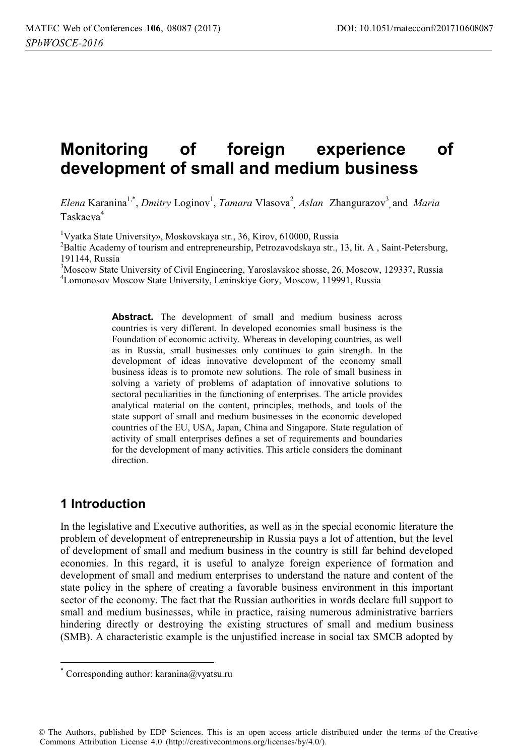# **Monitoring of foreign experience of development of small and medium business**

Elena Karanina<sup>1,\*</sup>, *Dmitry* Loginov<sup>1</sup>, *Tamara* Vlasova<sup>2</sup>, *Aslan* Zhangurazov<sup>3</sup>, and *Maria* Taskaeva<sup>4</sup>

<sup>1</sup>Vyatka State University», Moskovskaya str., 36, Kirov, 610000, Russia

 $2^2$ Baltic Academy of tourism and entrepreneurship, Petrozavodskaya str., 13, lit. A, Saint-Petersburg, 191144, Russia

<sup>3</sup>Moscow State University of Civil Engineering, Yaroslavskoe shosse, 26, Moscow, 129337, Russia<br><sup>4</sup>Lomonosov Moscow State University, Laninskiye Gory, Moscow, 110001, Pussia Lomonosov Moscow State University, Leninskiye Gory, Moscow, 119991, Russia

> Abstract. The development of small and medium business across countries is very different. In developed economies small business is the Foundation of economic activity. Whereas in developing countries, as well as in Russia, small businesses only continues to gain strength. In the development of ideas innovative development of the economy small business ideas is to promote new solutions. The role of small business in solving a variety of problems of adaptation of innovative solutions to sectoral peculiarities in the functioning of enterprises. The article provides analytical material on the content, principles, methods, and tools of the state support of small and medium businesses in the economic developed countries of the EU, USA, Japan, China and Singapore. State regulation of activity of small enterprises defines a set of requirements and boundaries for the development of many activities. This article considers the dominant direction.

## **1 Introduction**

l

In the legislative and Executive authorities, as well as in the special economic literature the problem of development of entrepreneurship in Russia pays a lot of attention, but the level of development of small and medium business in the country is still far behind developed economies. In this regard, it is useful to analyze foreign experience of formation and development of small and medium enterprises to understand the nature and content of the state policy in the sphere of creating a favorable business environment in this important sector of the economy. The fact that the Russian authorities in words declare full support to small and medium businesses, while in practice, raising numerous administrative barriers hindering directly or destroying the existing structures of small and medium business (SMB). A characteristic example is the unjustified increase in social tax SMCB adopted by

<sup>\*</sup> Corresponding author: karanina@vyatsu.ru

<sup>©</sup> The Authors, published by EDP Sciences. This is an open access article distributed under the terms of the Creative Commons Attribution License 4.0 (http://creativecommons.org/licenses/by/4.0/).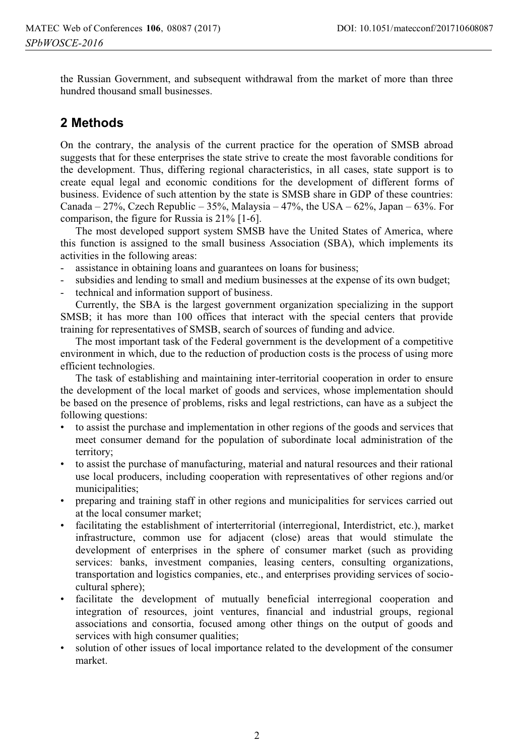the Russian Government, and subsequent withdrawal from the market of more than three hundred thousand small businesses.

## **2 Methods**

On the contrary, the analysis of the current practice for the operation of SMSB abroad suggests that for these enterprises the state strive to create the most favorable conditions for the development. Thus, differing regional characteristics, in all cases, state support is to create equal legal and economic conditions for the development of different forms of business. Evidence of such attention by the state is SMSB share in GDP of these countries: Canada – 27%, Czech Republic – 35%, Malaysia – 47%, the USA – 62%, Japan – 63%. For comparison, the figure for Russia is 21% [1-6].

The most developed support system SMSB have the United States of America, where this function is assigned to the small business Association (SBA), which implements its activities in the following areas:

- assistance in obtaining loans and guarantees on loans for business;
- subsidies and lending to small and medium businesses at the expense of its own budget;
- technical and information support of business.

Currently, the SBA is the largest government organization specializing in the support SMSB; it has more than 100 offices that interact with the special centers that provide training for representatives of SMSB, search of sources of funding and advice.

The most important task of the Federal government is the development of a competitive environment in which, due to the reduction of production costs is the process of using more efficient technologies.

The task of establishing and maintaining inter-territorial cooperation in order to ensure the development of the local market of goods and services, whose implementation should be based on the presence of problems, risks and legal restrictions, can have as a subject the following questions:

- to assist the purchase and implementation in other regions of the goods and services that meet consumer demand for the population of subordinate local administration of the territory;
- to assist the purchase of manufacturing, material and natural resources and their rational use local producers, including cooperation with representatives of other regions and/or municipalities;
- preparing and training staff in other regions and municipalities for services carried out at the local consumer market;
- facilitating the establishment of interterritorial (interregional, Interdistrict, etc.), market infrastructure, common use for adjacent (close) areas that would stimulate the development of enterprises in the sphere of consumer market (such as providing services: banks, investment companies, leasing centers, consulting organizations, transportation and logistics companies, etc., and enterprises providing services of sociocultural sphere);
- facilitate the development of mutually beneficial interregional cooperation and integration of resources, joint ventures, financial and industrial groups, regional associations and consortia, focused among other things on the output of goods and services with high consumer qualities;
- solution of other issues of local importance related to the development of the consumer market.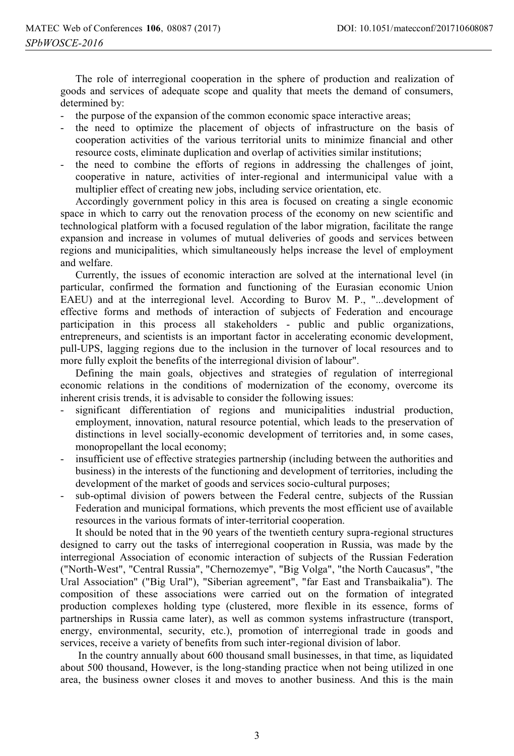The role of interregional cooperation in the sphere of production and realization of goods and services of adequate scope and quality that meets the demand of consumers, determined by:

- the purpose of the expansion of the common economic space interactive areas;
- the need to optimize the placement of objects of infrastructure on the basis of cooperation activities of the various territorial units to minimize financial and other resource costs, eliminate duplication and overlap of activities similar institutions;
- the need to combine the efforts of regions in addressing the challenges of joint, cooperative in nature, activities of inter-regional and intermunicipal value with a multiplier effect of creating new jobs, including service orientation, etc.

Accordingly government policy in this area is focused on creating a single economic space in which to carry out the renovation process of the economy on new scientific and technological platform with a focused regulation of the labor migration, facilitate the range expansion and increase in volumes of mutual deliveries of goods and services between regions and municipalities, which simultaneously helps increase the level of employment and welfare.

Currently, the issues of economic interaction are solved at the international level (in particular, confirmed the formation and functioning of the Eurasian economic Union EAEU) and at the interregional level. According to Burov M. P., "...development of effective forms and methods of interaction of subjects of Federation and encourage participation in this process all stakeholders - public and public organizations, entrepreneurs, and scientists is an important factor in accelerating economic development, pull-UPS, lagging regions due to the inclusion in the turnover of local resources and to more fully exploit the benefits of the interregional division of labour".

Defining the main goals, objectives and strategies of regulation of interregional economic relations in the conditions of modernization of the economy, overcome its inherent crisis trends, it is advisable to consider the following issues:

- significant differentiation of regions and municipalities industrial production, employment, innovation, natural resource potential, which leads to the preservation of distinctions in level socially-economic development of territories and, in some cases, monopropellant the local economy;
- insufficient use of effective strategies partnership (including between the authorities and business) in the interests of the functioning and development of territories, including the development of the market of goods and services socio-cultural purposes;
- sub-optimal division of powers between the Federal centre, subjects of the Russian Federation and municipal formations, which prevents the most efficient use of available resources in the various formats of inter-territorial cooperation.

It should be noted that in the 90 years of the twentieth century supra-regional structures designed to carry out the tasks of interregional cooperation in Russia, was made by the interregional Association of economic interaction of subjects of the Russian Federation ("North-West", "Central Russia", "Chernozemye", "Big Volga", "the North Caucasus", "the Ural Association" ("Big Ural"), "Siberian agreement", "far East and Transbaikalia"). The composition of these associations were carried out on the formation of integrated production complexes holding type (clustered, more flexible in its essence, forms of partnerships in Russia came later), as well as common systems infrastructure (transport, energy, environmental, security, etc.), promotion of interregional trade in goods and services, receive a variety of benefits from such inter-regional division of labor.

 In the country annually about 600 thousand small businesses, in that time, as liquidated about 500 thousand, However, is the long-standing practice when not being utilized in one area, the business owner closes it and moves to another business. And this is the main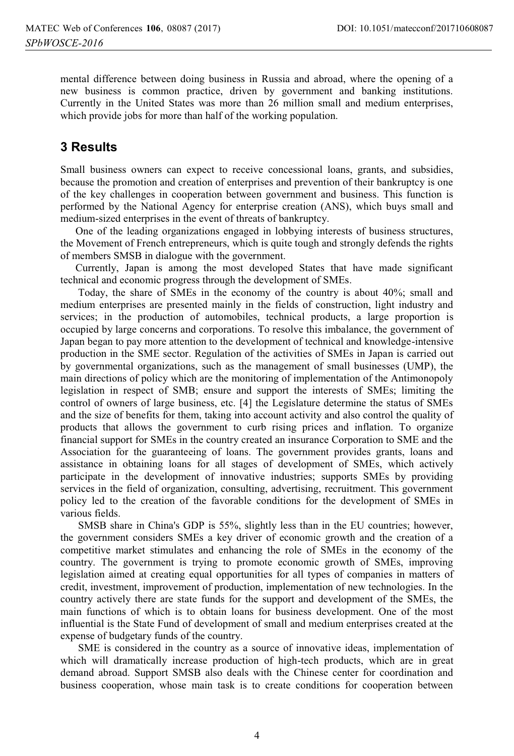mental difference between doing business in Russia and abroad, where the opening of a new business is common practice, driven by government and banking institutions. Currently in the United States was more than 26 million small and medium enterprises, which provide jobs for more than half of the working population.

## **3 Results**

Small business owners can expect to receive concessional loans, grants, and subsidies, because the promotion and creation of enterprises and prevention of their bankruptcy is one of the key challenges in cooperation between government and business. This function is performed by the National Agency for enterprise creation (ANS), which buys small and medium-sized enterprises in the event of threats of bankruptcy.

One of the leading organizations engaged in lobbying interests of business structures, the Movement of French entrepreneurs, which is quite tough and strongly defends the rights of members SMSB in dialogue with the government.

Currently, Japan is among the most developed States that have made significant technical and economic progress through the development of SMEs.

Today, the share of SMEs in the economy of the country is about 40%; small and medium enterprises are presented mainly in the fields of construction, light industry and services; in the production of automobiles, technical products, a large proportion is occupied by large concerns and corporations. To resolve this imbalance, the government of Japan began to pay more attention to the development of technical and knowledge-intensive production in the SME sector. Regulation of the activities of SMEs in Japan is carried out by governmental organizations, such as the management of small businesses (UMP), the main directions of policy which are the monitoring of implementation of the Antimonopoly legislation in respect of SMB; ensure and support the interests of SMEs; limiting the control of owners of large business, etc. [4] the Legislature determine the status of SMEs and the size of benefits for them, taking into account activity and also control the quality of products that allows the government to curb rising prices and inflation. To organize financial support for SMEs in the country created an insurance Corporation to SME and the Association for the guaranteeing of loans. The government provides grants, loans and assistance in obtaining loans for all stages of development of SMEs, which actively participate in the development of innovative industries; supports SMEs by providing services in the field of organization, consulting, advertising, recruitment. This government policy led to the creation of the favorable conditions for the development of SMEs in various fields.

SMSB share in China's GDP is 55%, slightly less than in the EU countries; however, the government considers SMEs a key driver of economic growth and the creation of a competitive market stimulates and enhancing the role of SMEs in the economy of the country. The government is trying to promote economic growth of SMEs, improving legislation aimed at creating equal opportunities for all types of companies in matters of credit, investment, improvement of production, implementation of new technologies. In the country actively there are state funds for the support and development of the SMEs, the main functions of which is to obtain loans for business development. One of the most influential is the State Fund of development of small and medium enterprises created at the expense of budgetary funds of the country.

SME is considered in the country as a source of innovative ideas, implementation of which will dramatically increase production of high-tech products, which are in great demand abroad. Support SMSB also deals with the Chinese center for coordination and business cooperation, whose main task is to create conditions for cooperation between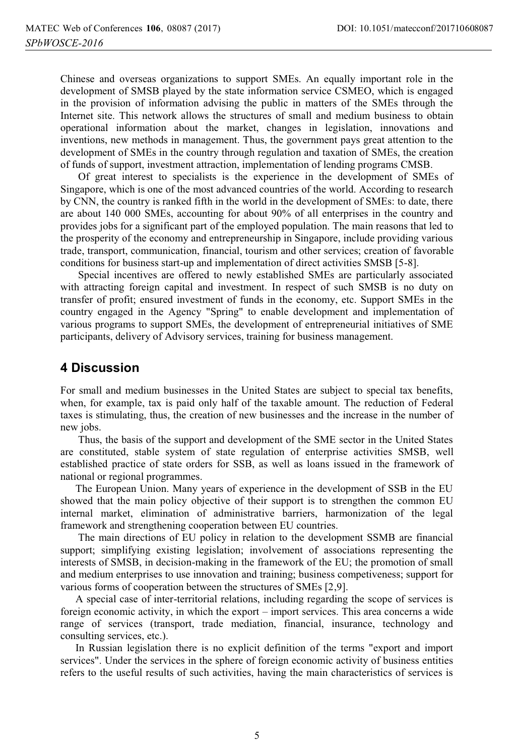Chinese and overseas organizations to support SMEs. An equally important role in the development of SMSB played by the state information service CSMEO, which is engaged in the provision of information advising the public in matters of the SMEs through the Internet site. This network allows the structures of small and medium business to obtain operational information about the market, changes in legislation, innovations and inventions, new methods in management. Thus, the government pays great attention to the development of SMEs in the country through regulation and taxation of SMEs, the creation of funds of support, investment attraction, implementation of lending programs CMSB.

Of great interest to specialists is the experience in the development of SMEs of Singapore, which is one of the most advanced countries of the world. According to research by CNN, the country is ranked fifth in the world in the development of SMEs: to date, there are about 140 000 SMEs, accounting for about 90% of all enterprises in the country and provides jobs for a significant part of the employed population. The main reasons that led to the prosperity of the economy and entrepreneurship in Singapore, include providing various trade, transport, communication, financial, tourism and other services; creation of favorable conditions for business start-up and implementation of direct activities SMSB [5-8].

Special incentives are offered to newly established SMEs are particularly associated with attracting foreign capital and investment. In respect of such SMSB is no duty on transfer of profit; ensured investment of funds in the economy, etc. Support SMEs in the country engaged in the Agency "Spring" to enable development and implementation of various programs to support SMEs, the development of entrepreneurial initiatives of SME participants, delivery of Advisory services, training for business management.

#### **4 Discussion**

For small and medium businesses in the United States are subject to special tax benefits, when, for example, tax is paid only half of the taxable amount. The reduction of Federal taxes is stimulating, thus, the creation of new businesses and the increase in the number of new jobs.

 Thus, the basis of the support and development of the SME sector in the United States are constituted, stable system of state regulation of enterprise activities SMSB, well established practice of state orders for SSB, as well as loans issued in the framework of national or regional programmes.

The European Union. Many years of experience in the development of SSB in the EU showed that the main policy objective of their support is to strengthen the common EU internal market, elimination of administrative barriers, harmonization of the legal framework and strengthening cooperation between EU countries.

 The main directions of EU policy in relation to the development SSMB are financial support; simplifying existing legislation; involvement of associations representing the interests of SMSB, in decision-making in the framework of the EU; the promotion of small and medium enterprises to use innovation and training; business competiveness; support for various forms of cooperation between the structures of SMEs [2,9].

A special case of inter-territorial relations, including regarding the scope of services is foreign economic activity, in which the export – import services. This area concerns a wide range of services (transport, trade mediation, financial, insurance, technology and consulting services, etc.).

In Russian legislation there is no explicit definition of the terms "export and import services". Under the services in the sphere of foreign economic activity of business entities refers to the useful results of such activities, having the main characteristics of services is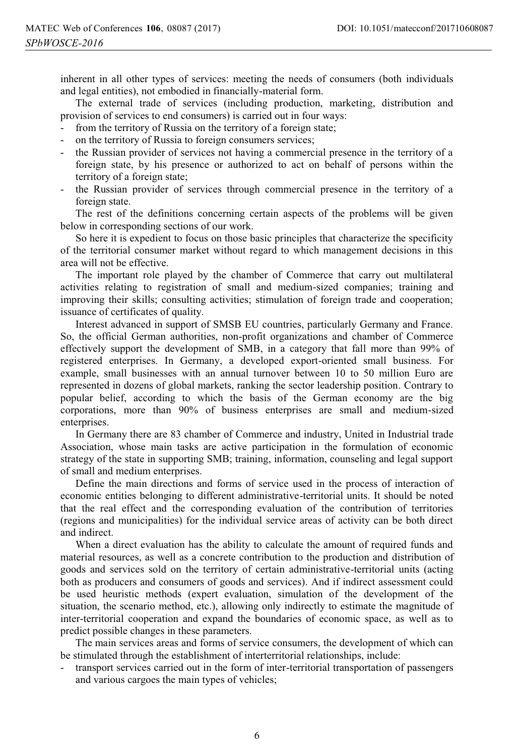inherent in all other types of services: meeting the needs of consumers (both individuals and legal entities), not embodied in financially-material form.

The external trade of services (including production, marketing, distribution and provision of services to end consumers) is carried out in four ways:

- from the territory of Russia on the territory of a foreign state;
- on the territory of Russia to foreign consumers services;
- the Russian provider of services not having a commercial presence in the territory of a foreign state, by his presence or authorized to act on behalf of persons within the territory of a foreign state;
- the Russian provider of services through commercial presence in the territory of a foreign state.

The rest of the definitions concerning certain aspects of the problems will be given below in corresponding sections of our work.

So here it is expedient to focus on those basic principles that characterize the specificity of the territorial consumer market without regard to which management decisions in this area will not be effective.

The important role played by the chamber of Commerce that carry out multilateral activities relating to registration of small and medium-sized companies; training and improving their skills; consulting activities; stimulation of foreign trade and cooperation; issuance of certificates of quality.

Interest advanced in support of SMSB EU countries, particularly Germany and France. So, the official German authorities, non-profit organizations and chamber of Commerce effectively support the development of SMB, in a category that fall more than 99% of registered enterprises. In Germany, a developed export-oriented small business. For example, small businesses with an annual turnover between 10 to 50 million Euro are represented in dozens of global markets, ranking the sector leadership position. Contrary to popular belief, according to which the basis of the German economy are the big corporations, more than 90% of business enterprises are small and medium-sized enterprises.

In Germany there are 83 chamber of Commerce and industry, United in Industrial trade Association, whose main tasks are active participation in the formulation of economic strategy of the state in supporting SMB; training, information, counseling and legal support of small and medium enterprises.

Define the main directions and forms of service used in the process of interaction of economic entities belonging to different administrative-territorial units. It should be noted that the real effect and the corresponding evaluation of the contribution of territories (regions and municipalities) for the individual service areas of activity can be both direct and indirect.

When a direct evaluation has the ability to calculate the amount of required funds and material resources, as well as a concrete contribution to the production and distribution of goods and services sold on the territory of certain administrative-territorial units (acting both as producers and consumers of goods and services). And if indirect assessment could be used heuristic methods (expert evaluation, simulation of the development of the situation, the scenario method, etc.), allowing only indirectly to estimate the magnitude of inter-territorial cooperation and expand the boundaries of economic space, as well as to predict possible changes in these parameters.

The main services areas and forms of service consumers, the development of which can be stimulated through the establishment of interterritorial relationships, include:

- transport services carried out in the form of inter-territorial transportation of passengers and various cargoes the main types of vehicles;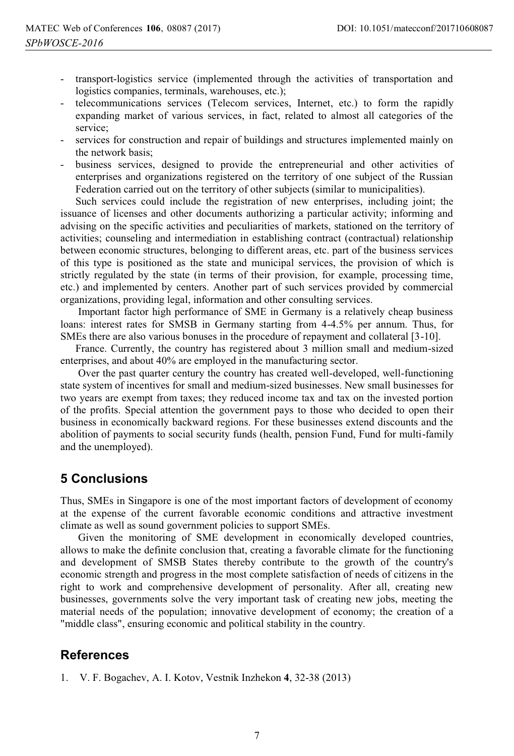- transport-logistics service (implemented through the activities of transportation and logistics companies, terminals, warehouses, etc.);
- telecommunications services (Telecom services, Internet, etc.) to form the rapidly expanding market of various services, in fact, related to almost all categories of the service;
- services for construction and repair of buildings and structures implemented mainly on the network basis;
- business services, designed to provide the entrepreneurial and other activities of enterprises and organizations registered on the territory of one subject of the Russian Federation carried out on the territory of other subjects (similar to municipalities).

Such services could include the registration of new enterprises, including joint; the issuance of licenses and other documents authorizing a particular activity; informing and advising on the specific activities and peculiarities of markets, stationed on the territory of activities; counseling and intermediation in establishing contract (contractual) relationship between economic structures, belonging to different areas, etc. part of the business services of this type is positioned as the state and municipal services, the provision of which is strictly regulated by the state (in terms of their provision, for example, processing time, etc.) and implemented by centers. Another part of such services provided by commercial organizations, providing legal, information and other consulting services.

 Important factor high performance of SME in Germany is a relatively cheap business loans: interest rates for SMSB in Germany starting from 4-4.5% per annum. Thus, for SMEs there are also various bonuses in the procedure of repayment and collateral [3-10].

France. Currently, the country has registered about 3 million small and medium-sized enterprises, and about 40% are employed in the manufacturing sector.

 Over the past quarter century the country has created well-developed, well-functioning state system of incentives for small and medium-sized businesses. New small businesses for two years are exempt from taxes; they reduced income tax and tax on the invested portion of the profits. Special attention the government pays to those who decided to open their business in economically backward regions. For these businesses extend discounts and the abolition of payments to social security funds (health, pension Fund, Fund for multi-family and the unemployed).

#### **5 Conclusions**

Thus, SMEs in Singapore is one of the most important factors of development of economy at the expense of the current favorable economic conditions and attractive investment climate as well as sound government policies to support SMEs.

Given the monitoring of SME development in economically developed countries, allows to make the definite conclusion that, creating a favorable climate for the functioning and development of SMSB States thereby contribute to the growth of the country's economic strength and progress in the most complete satisfaction of needs of citizens in the right to work and comprehensive development of personality. After all, creating new businesses, governments solve the very important task of creating new jobs, meeting the material needs of the population; innovative development of economy; the creation of a "middle class", ensuring economic and political stability in the country.

#### **References**

1. V. F. Bogachev, A. I. Kotov, Vestnik Inzhekon **4**, 32-38 (2013)